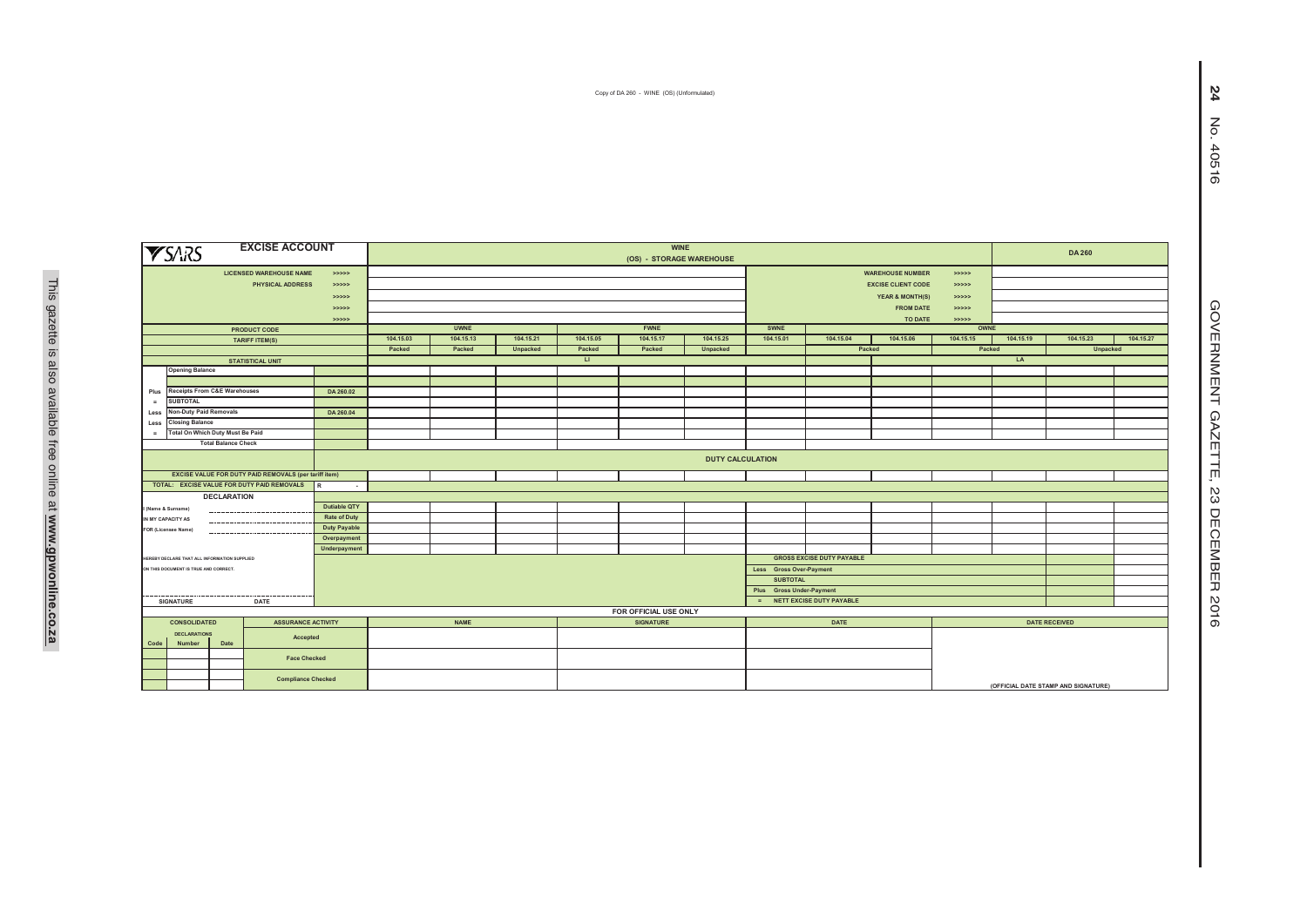Copy of DA 260 - WINE (OS) (Unformulated)

| <b>EXCISE ACCOUNT</b><br><b>YSARS</b>                        |                                              |                    |                                            |                        |                                                          | <b>DA 260</b> |           |                  |             |           |                         |                                  |                           |                                     |           |                 |           |  |
|--------------------------------------------------------------|----------------------------------------------|--------------------|--------------------------------------------|------------------------|----------------------------------------------------------|---------------|-----------|------------------|-------------|-----------|-------------------------|----------------------------------|---------------------------|-------------------------------------|-----------|-----------------|-----------|--|
|                                                              |                                              |                    | <b>LICENSED WAREHOUSE NAME</b>             | > >> > > >             |                                                          |               | >>>>>>    |                  |             |           |                         |                                  |                           |                                     |           |                 |           |  |
|                                                              |                                              |                    | PHYSICAL ADDRESS                           | > >> > > >             |                                                          |               |           |                  |             |           |                         |                                  | <b>EXCISE CLIENT CODE</b> | > >> > > >                          |           |                 |           |  |
|                                                              |                                              |                    |                                            | > >> > > >             |                                                          |               |           |                  |             |           |                         |                                  | YEAR & MONTH(S)           | > >> > > >                          |           |                 |           |  |
|                                                              |                                              |                    |                                            | > >> > > >             |                                                          |               |           |                  |             |           |                         |                                  | <b>FROM DATE</b>          | >>>>>>                              |           |                 |           |  |
|                                                              |                                              |                    |                                            | > >> > > >             |                                                          |               |           |                  |             |           |                         |                                  | > >> > > >                |                                     |           |                 |           |  |
|                                                              |                                              |                    | <b>PRODUCT CODE</b>                        |                        |                                                          | <b>UWNE</b>   |           |                  | <b>FWNE</b> |           | SWNE                    |                                  | TO DATE                   | OWNE                                |           |                 |           |  |
|                                                              |                                              |                    | <b>TARIFF ITEM(S)</b>                      |                        | 104.15.03                                                | 104.15.13     | 104.15.21 | 104.15.05        | 104.15.17   | 104.15.25 | 104.15.01               | 104.15.04                        | 104.15.06                 | 104.15.15                           | 104.15.19 | 104.15.23       | 104.15.27 |  |
|                                                              |                                              |                    |                                            |                        | Packed                                                   | Packed        | Unpacked  | Packed           | Packed      | Unpacked  |                         | Packed                           |                           | Packed                              |           | <b>Unpacked</b> |           |  |
|                                                              |                                              |                    | <b>STATISTICAL UNIT</b>                    |                        |                                                          |               |           | $\overline{u}$   |             |           |                         |                                  |                           |                                     | LA        |                 |           |  |
|                                                              | <b>Opening Balance</b>                       |                    |                                            |                        |                                                          |               |           |                  |             |           |                         |                                  |                           |                                     |           |                 |           |  |
|                                                              |                                              |                    |                                            |                        |                                                          |               |           |                  |             |           |                         |                                  |                           |                                     |           |                 |           |  |
| Plus                                                         | Receipts From C&E Warehouses                 |                    |                                            | DA 260.02              |                                                          |               |           |                  |             |           |                         |                                  |                           |                                     |           |                 |           |  |
| $=$                                                          | <b>SUBTOTAL</b>                              |                    |                                            |                        |                                                          |               |           |                  |             |           |                         |                                  |                           |                                     |           |                 |           |  |
| Less                                                         | <b>Non-Duty Paid Removals</b>                |                    |                                            | DA 260.04              |                                                          |               |           |                  |             |           |                         |                                  |                           |                                     |           |                 |           |  |
| Less                                                         | <b>Closing Balance</b>                       |                    |                                            |                        |                                                          |               |           |                  |             |           |                         |                                  |                           |                                     |           |                 |           |  |
| $=$                                                          | <b>Total On Which Duty Must Be Paid</b>      |                    |                                            |                        |                                                          |               |           |                  |             |           |                         |                                  |                           |                                     |           |                 |           |  |
| <b>Total Balance Check</b>                                   |                                              |                    |                                            |                        |                                                          |               |           |                  |             |           |                         |                                  |                           |                                     |           |                 |           |  |
|                                                              |                                              |                    |                                            |                        | <b>DUTY CALCULATION</b>                                  |               |           |                  |             |           |                         |                                  |                           |                                     |           |                 |           |  |
| <b>EXCISE VALUE FOR DUTY PAID REMOVALS (per tariff item)</b> |                                              |                    |                                            |                        |                                                          |               |           |                  |             |           |                         |                                  |                           |                                     |           |                 |           |  |
|                                                              |                                              |                    | TOTAL: EXCISE VALUE FOR DUTY PAID REMOVALS | $\mathbb{R}$<br>$\sim$ |                                                          |               |           |                  |             |           |                         |                                  |                           |                                     |           |                 |           |  |
|                                                              |                                              | <b>DECLARATION</b> |                                            |                        |                                                          |               |           |                  |             |           |                         |                                  |                           |                                     |           |                 |           |  |
| (Name & Surname)                                             |                                              |                    |                                            | Dutiable QTY           |                                                          |               |           |                  |             |           |                         |                                  |                           |                                     |           |                 |           |  |
| IN MY CAPACITY AS                                            |                                              |                    |                                            | Rate of Duty           |                                                          |               |           |                  |             |           |                         |                                  |                           |                                     |           |                 |           |  |
|                                                              | FOR (Licensee Name)                          |                    |                                            | Duty Payable           |                                                          |               |           |                  |             |           |                         |                                  |                           |                                     |           |                 |           |  |
|                                                              |                                              |                    |                                            | Overpayment            |                                                          |               |           |                  |             |           |                         |                                  |                           |                                     |           |                 |           |  |
|                                                              |                                              |                    |                                            | Underpayment           |                                                          |               |           |                  |             |           |                         |                                  |                           |                                     |           |                 |           |  |
|                                                              | HEREBY DECLARE THAT ALL INFORMATION SUPPLIED |                    |                                            |                        |                                                          |               |           |                  |             |           | Less Gross Over-Payment | <b>GROSS EXCISE DUTY PAYABLE</b> |                           |                                     |           |                 |           |  |
|                                                              | ON THIS DOCUMENT IS TRUE AND CORRECT.        |                    |                                            |                        |                                                          |               |           |                  |             |           |                         |                                  |                           |                                     |           |                 |           |  |
|                                                              |                                              |                    |                                            |                        |                                                          |               |           |                  |             |           | <b>SUBTOTAL</b>         |                                  |                           |                                     |           |                 |           |  |
|                                                              |                                              |                    |                                            |                        | Plus Gross Under-Payment                                 |               |           |                  |             |           |                         |                                  |                           |                                     |           |                 |           |  |
|                                                              | <b>SIGNATURE</b>                             |                    | DATE                                       |                        | NETT EXCISE DUTY PAYABLE<br>$=$<br>FOR OFFICIAL USE ONLY |               |           |                  |             |           |                         |                                  |                           |                                     |           |                 |           |  |
| <b>ASSURANCE ACTIVITY</b>                                    |                                              |                    |                                            |                        |                                                          |               |           |                  |             |           |                         |                                  |                           |                                     |           |                 |           |  |
| <b>CONSOLIDATED</b>                                          |                                              |                    |                                            |                        | <b>NAME</b>                                              |               |           | <b>SIGNATURE</b> |             |           | <b>DATE</b>             |                                  | <b>DATE RECEIVED</b>      |                                     |           |                 |           |  |
| Code                                                         | <b>DECLARATIONS</b><br>Number                | Date               | Accepted                                   |                        |                                                          |               |           |                  |             |           |                         |                                  |                           |                                     |           |                 |           |  |
|                                                              |                                              |                    |                                            |                        |                                                          |               |           |                  |             |           |                         |                                  |                           |                                     |           |                 |           |  |
|                                                              |                                              |                    | <b>Face Checked</b>                        |                        |                                                          |               |           |                  |             |           |                         |                                  |                           |                                     |           |                 |           |  |
|                                                              |                                              |                    |                                            |                        |                                                          |               |           |                  |             |           |                         |                                  |                           |                                     |           |                 |           |  |
|                                                              |                                              |                    | <b>Compliance Checked</b>                  |                        |                                                          |               |           |                  |             |           |                         |                                  |                           | (OFFICIAL DATE STAMP AND SIGNATURE) |           |                 |           |  |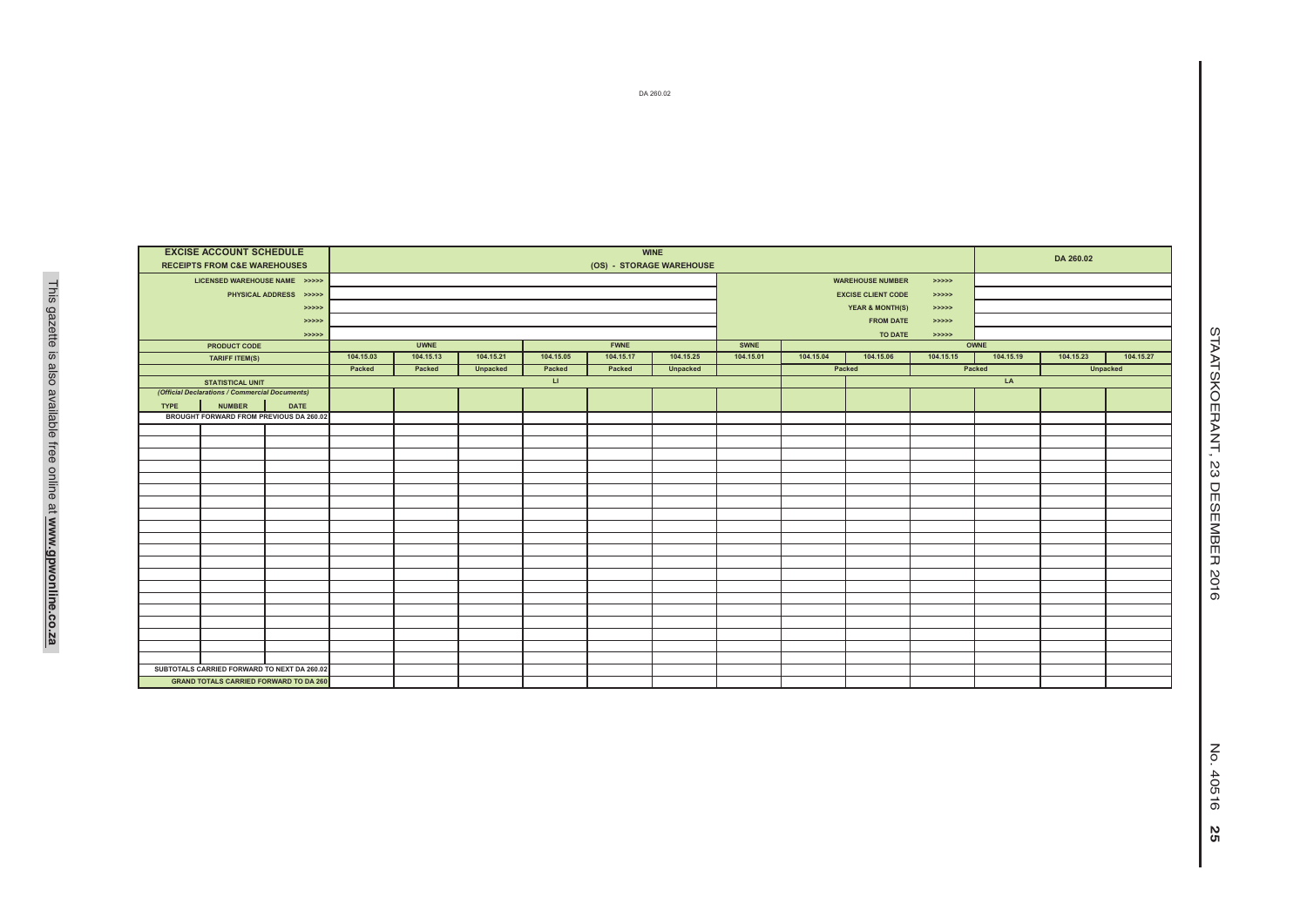|             | <b>EXCISE ACCOUNT SCHEDULE</b>                 |                        |           |             | DA 260.02 |              |             |           |             |           |                            |            |                    |           |           |  |  |
|-------------|------------------------------------------------|------------------------|-----------|-------------|-----------|--------------|-------------|-----------|-------------|-----------|----------------------------|------------|--------------------|-----------|-----------|--|--|
|             | <b>RECEIPTS FROM C&amp;E WAREHOUSES</b>        |                        |           |             |           |              |             |           |             |           |                            |            |                    |           |           |  |  |
|             | LICENSED WAREHOUSE NAME >>>>>                  |                        |           |             |           |              |             |           |             |           | <b>WAREHOUSE NUMBER</b>    | > >> > >   |                    |           |           |  |  |
|             |                                                | PHYSICAL ADDRESS >>>>> |           |             |           |              |             |           |             |           | <b>EXCISE CLIENT CODE</b>  | > >> > > > |                    |           |           |  |  |
|             |                                                | >>>>>                  |           |             |           |              |             |           |             |           | <b>YEAR &amp; MONTH(S)</b> | > >> > >   |                    |           |           |  |  |
|             |                                                | >>>>>                  |           |             |           |              |             |           |             |           | <b>FROM DATE</b>           | > >> > > > |                    |           |           |  |  |
|             |                                                | >>>>>                  |           |             |           |              |             |           |             |           | TO DATE                    | > >> > >   |                    |           |           |  |  |
|             | <b>PRODUCT CODE</b>                            |                        |           | <b>UWNE</b> |           |              | <b>FWNE</b> |           | <b>SWNE</b> |           |                            |            | OWNE               |           |           |  |  |
|             | <b>TARIFF ITEM(S)</b>                          |                        | 104.15.03 | 104.15.13   | 104.15.21 | 104.15.05    | 104.15.17   | 104.15.25 | 104.15.01   | 104.15.04 | 104.15.06                  | 104.15.15  | 104.15.19          | 104.15.23 | 104.15.27 |  |  |
|             |                                                |                        | Packed    | Packed      | Unpacked  | Packed       | Packed      | Unpacked  |             |           | Packed                     |            | Unpacked<br>Packed |           |           |  |  |
|             | <b>STATISTICAL UNIT</b>                        |                        |           |             |           | $\mathbf{H}$ |             |           |             |           |                            |            | LA                 |           |           |  |  |
|             | (Official Declarations / Commercial Documents) |                        |           |             |           |              |             |           |             |           |                            |            |                    |           |           |  |  |
| <b>TYPE</b> | <b>NUMBER</b>                                  | <b>DATE</b>            |           |             |           |              |             |           |             |           |                            |            |                    |           |           |  |  |
|             | BROUGHT FORWARD FROM PREVIOUS DA 260.02        |                        |           |             |           |              |             |           |             |           |                            |            |                    |           |           |  |  |
|             |                                                |                        |           |             |           |              |             |           |             |           |                            |            |                    |           |           |  |  |
|             |                                                |                        |           |             |           |              |             |           |             |           |                            |            |                    |           |           |  |  |
|             |                                                |                        |           |             |           |              |             |           |             |           |                            |            |                    |           |           |  |  |
|             |                                                |                        |           |             |           |              |             |           |             |           |                            |            |                    |           |           |  |  |
|             |                                                |                        |           |             |           |              |             |           |             |           |                            |            |                    |           |           |  |  |
|             |                                                |                        |           |             |           |              |             |           |             |           |                            |            |                    |           |           |  |  |
|             |                                                |                        |           |             |           |              |             |           |             |           |                            |            |                    |           |           |  |  |
|             |                                                |                        |           |             |           |              |             |           |             |           |                            |            |                    |           |           |  |  |
|             |                                                |                        |           |             |           |              |             |           |             |           |                            |            |                    |           |           |  |  |
|             |                                                |                        |           |             |           |              |             |           |             |           |                            |            |                    |           |           |  |  |
|             |                                                |                        |           |             |           |              |             |           |             |           |                            |            |                    |           |           |  |  |
|             |                                                |                        |           |             |           |              |             |           |             |           |                            |            |                    |           |           |  |  |
|             |                                                |                        |           |             |           |              |             |           |             |           |                            |            |                    |           |           |  |  |
|             |                                                |                        |           |             |           |              |             |           |             |           |                            |            |                    |           |           |  |  |
|             |                                                |                        |           |             |           |              |             |           |             |           |                            |            |                    |           |           |  |  |
|             |                                                |                        |           |             |           |              |             |           |             |           |                            |            |                    |           |           |  |  |
|             |                                                |                        |           |             |           |              |             |           |             |           |                            |            |                    |           |           |  |  |
|             |                                                |                        |           |             |           |              |             |           |             |           |                            |            |                    |           |           |  |  |
|             |                                                |                        |           |             |           |              |             |           |             |           |                            |            |                    |           |           |  |  |
|             | SUBTOTALS CARRIED FORWARD TO NEXT DA 260.02    |                        |           |             |           |              |             |           |             |           |                            |            |                    |           |           |  |  |
|             | <b>GRAND TOTALS CARRIED FORWARD TO DA 260</b>  |                        |           |             |           |              |             |           |             |           |                            |            |                    |           |           |  |  |

This gazette is also available free online at **www.gpwonline.co.za**

This gazette is also available free online at www.gpwonline.co.za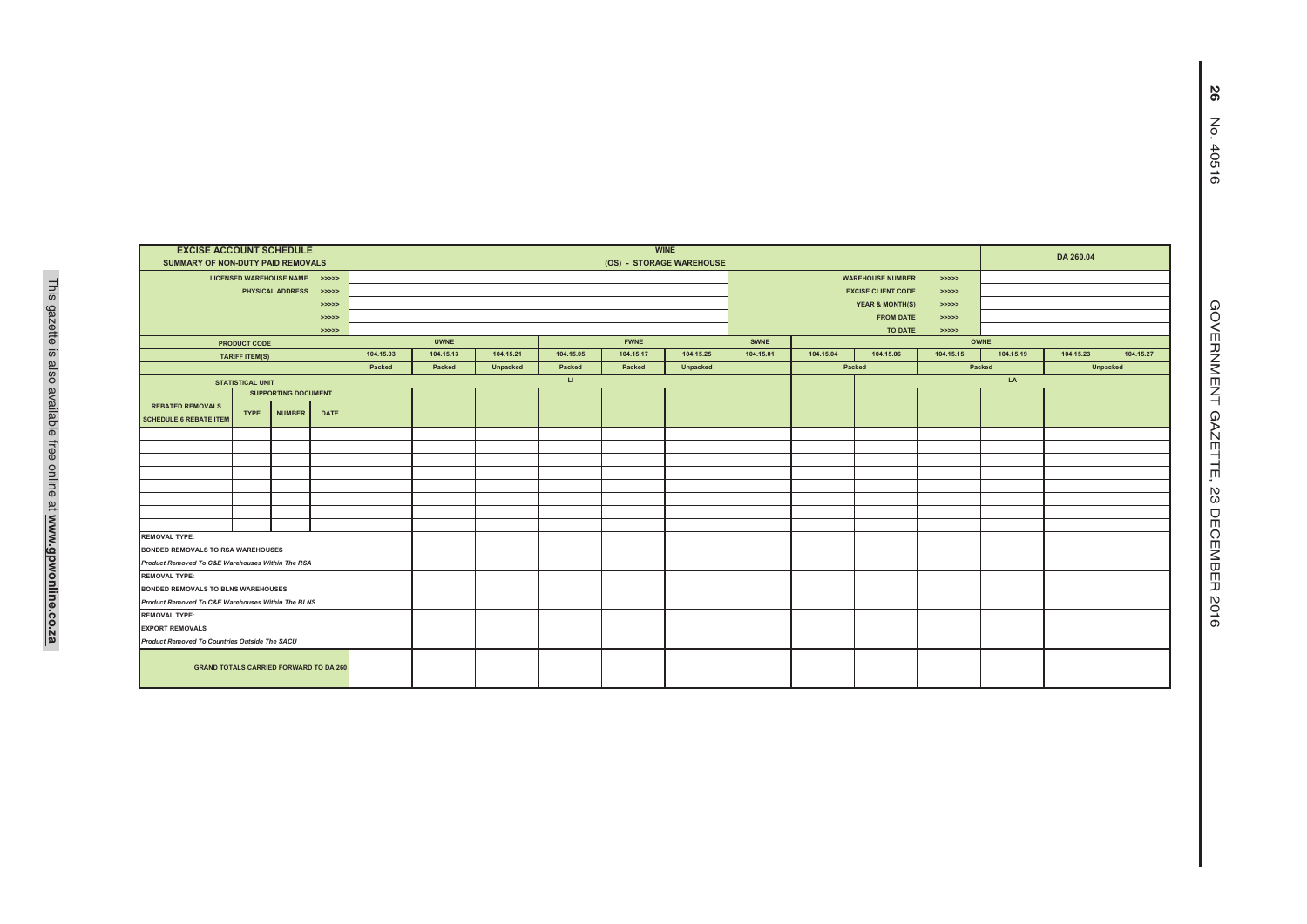| <b>EXCISE ACCOUNT SCHEDULE</b><br>SUMMARY OF NON-DUTY PAID REMOVALS |                         |                               |             |           |             | DA 260.04 |           |                          |           |             |           |                            |                |           |                 |           |  |
|---------------------------------------------------------------------|-------------------------|-------------------------------|-------------|-----------|-------------|-----------|-----------|--------------------------|-----------|-------------|-----------|----------------------------|----------------|-----------|-----------------|-----------|--|
|                                                                     |                         | LICENSED WAREHOUSE NAME >>>>> |             |           |             |           |           | (OS) - STORAGE WAREHOUSE |           |             |           | <b>WAREHOUSE NUMBER</b>    |                |           |                 |           |  |
|                                                                     |                         | PHYSICAL ADDRESS >>>>>        |             |           |             |           |           |                          |           |             |           | <b>EXCISE CLIENT CODE</b>  |                |           |                 |           |  |
|                                                                     |                         |                               | > >> > >    |           |             |           |           |                          |           |             |           | <b>YEAR &amp; MONTH(S)</b> | >>>>><br>>>>>> |           |                 |           |  |
|                                                                     |                         |                               | >>>>>       |           |             |           |           |                          |           |             |           | <b>FROM DATE</b>           | >>>>>          |           |                 |           |  |
|                                                                     |                         |                               | > >> > >    |           |             |           |           |                          |           |             |           | <b>TO DATE</b>             | >>>>>          |           |                 |           |  |
|                                                                     | <b>PRODUCT CODE</b>     |                               |             |           | <b>UWNE</b> |           |           | <b>FWNE</b>              |           | <b>SWNE</b> |           |                            |                | OWNE      |                 |           |  |
|                                                                     | <b>TARIFF ITEM(S)</b>   |                               |             | 104.15.03 | 104.15.13   | 104.15.21 | 104.15.05 | 104.15.17                | 104.15.25 | 104.15.01   | 104.15.04 | 104.15.06                  | 104.15.15      | 104.15.19 | 104.15.23       | 104.15.27 |  |
|                                                                     |                         |                               |             | Packed    | Packed      | Unpacked  | Packed    | Packed                   | Unpacked  |             |           | Packed                     |                | Packed    | <b>Unpacked</b> |           |  |
|                                                                     | <b>STATISTICAL UNIT</b> |                               |             |           |             |           | L1        |                          |           |             |           |                            |                | LA        |                 |           |  |
|                                                                     |                         | SUPPORTING DOCUMENT           |             |           |             |           |           |                          |           |             |           |                            |                |           |                 |           |  |
| <b>REBATED REMOVALS</b>                                             | <b>TYPE</b>             | <b>NUMBER</b>                 | <b>DATE</b> |           |             |           |           |                          |           |             |           |                            |                |           |                 |           |  |
| <b>SCHEDULE 6 REBATE ITEM</b>                                       |                         |                               |             |           |             |           |           |                          |           |             |           |                            |                |           |                 |           |  |
|                                                                     |                         |                               |             |           |             |           |           |                          |           |             |           |                            |                |           |                 |           |  |
|                                                                     |                         |                               |             |           |             |           |           |                          |           |             |           |                            |                |           |                 |           |  |
|                                                                     |                         |                               |             |           |             |           |           |                          |           |             |           |                            |                |           |                 |           |  |
|                                                                     |                         |                               |             |           |             |           |           |                          |           |             |           |                            |                |           |                 |           |  |
|                                                                     |                         |                               |             |           |             |           |           |                          |           |             |           |                            |                |           |                 |           |  |
|                                                                     |                         |                               |             |           |             |           |           |                          |           |             |           |                            |                |           |                 |           |  |
|                                                                     |                         |                               |             |           |             |           |           |                          |           |             |           |                            |                |           |                 |           |  |
|                                                                     |                         |                               |             |           |             |           |           |                          |           |             |           |                            |                |           |                 |           |  |
| <b>REMOVAL TYPE:</b>                                                |                         |                               |             |           |             |           |           |                          |           |             |           |                            |                |           |                 |           |  |
| <b>BONDED REMOVALS TO RSA WAREHOUSES</b>                            |                         |                               |             |           |             |           |           |                          |           |             |           |                            |                |           |                 |           |  |
| Product Removed To C&E Warehouses Within The RSA                    |                         |                               |             |           |             |           |           |                          |           |             |           |                            |                |           |                 |           |  |
| <b>REMOVAL TYPE:</b>                                                |                         |                               |             |           |             |           |           |                          |           |             |           |                            |                |           |                 |           |  |
| <b>BONDED REMOVALS TO BLNS WAREHOUSES</b>                           |                         |                               |             |           |             |           |           |                          |           |             |           |                            |                |           |                 |           |  |
| Product Removed To C&E Warehouses Within The BLNS                   |                         |                               |             |           |             |           |           |                          |           |             |           |                            |                |           |                 |           |  |
| <b>REMOVAL TYPE:</b>                                                |                         |                               |             |           |             |           |           |                          |           |             |           |                            |                |           |                 |           |  |
| <b>EXPORT REMOVALS</b>                                              |                         |                               |             |           |             |           |           |                          |           |             |           |                            |                |           |                 |           |  |
| Product Removed To Countries Outside The SACU                       |                         |                               |             |           |             |           |           |                          |           |             |           |                            |                |           |                 |           |  |
| <b>GRAND TOTALS CARRIED FORWARD TO DA 260</b>                       |                         |                               |             |           |             |           |           |                          |           |             |           |                            |                |           |                 |           |  |

**26** No. 40516

26 No. 40516